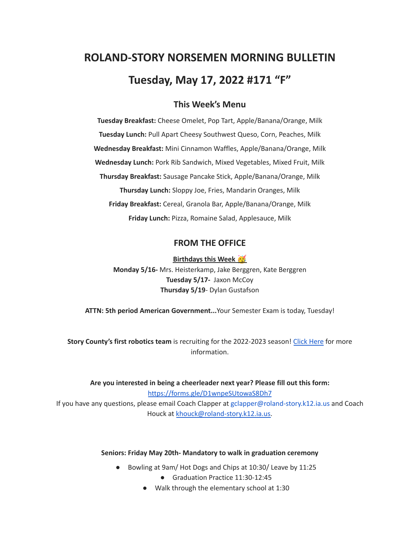# **ROLAND-STORY NORSEMEN MORNING BULLETIN Tuesday, May 17, 2022 #171 "F"**

## **This Week's Menu**

**Tuesday Breakfast:** Cheese Omelet, Pop Tart, Apple/Banana/Orange, Milk **Tuesday Lunch:** Pull Apart Cheesy Southwest Queso, Corn, Peaches, Milk **Wednesday Breakfast:** Mini Cinnamon Waffles, Apple/Banana/Orange, Milk **Wednesday Lunch:** Pork Rib Sandwich, Mixed Vegetables, Mixed Fruit, Milk **Thursday Breakfast:** Sausage Pancake Stick, Apple/Banana/Orange, Milk **Thursday Lunch:** Sloppy Joe, Fries, Mandarin Oranges, Milk **Friday Breakfast:** Cereal, Granola Bar, Apple/Banana/Orange, Milk **Friday Lunch:** Pizza, Romaine Salad, Applesauce, Milk

#### **FROM THE OFFICE**

**Birthdays this Week Monday 5/16-** Mrs. Heisterkamp, Jake Berggren, Kate Berggren **Tuesday 5/17-** Jaxon McCoy **Thursday 5/19**- Dylan Gustafson

**ATTN: 5th period American Government...**Your Semester Exam is today, Tuesday!

**Story County's first robotics team** is recruiting for the 2022-2023 season! Click [Here](https://www.youtube.com/watch?v=DJLEO_voM-8) for more information.

**Are you interested in being a cheerleader next year? Please fill out this form:** <https://forms.gle/D1wnpeSUtowaS8Dh7> If you have any questions, please email Coach Clapper at gclapper@roland-story.k12.ia.us and Coach Houck at [khouck@roland-story.k12.ia.us.](mailto:khouck@roland-story.k12.ia.us)

#### **Seniors: Friday May 20th- Mandatory to walk in graduation ceremony**

- Bowling at 9am/ Hot Dogs and Chips at 10:30/ Leave by 11:25
	- Graduation Practice 11:30-12:45
	- Walk through the elementary school at 1:30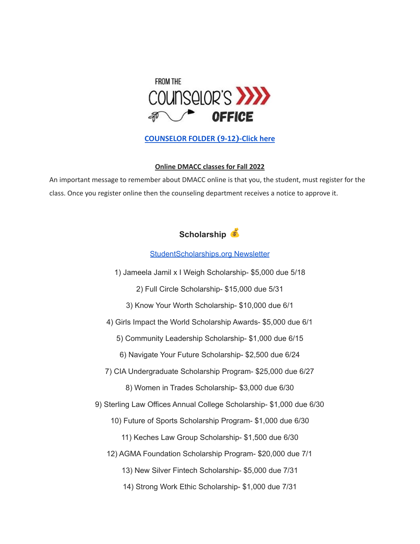

## **[COUNSELOR FOLDER](https://docs.google.com/document/d/1vmwczNPbDzXe9vFaG5LJMQ7NYDv-i4oQJHybqA65TUc/edit?usp=sharing) (9-12)-Click here**

#### **Online DMACC classes for Fall 2022**

An important message to remember about DMACC online is that you, the student, must register for the class. Once you register online then the counseling department receives a notice to approve it.

## **Scholarship**

#### [StudentScholarships.org](https://drive.google.com/file/d/1qEKcx3GVK6vi8DB_QD_Px65Do1Dedcz6/view?usp=sharing) Newsletter

1) Jameela Jamil x I Weigh Scholarship- \$5,000 due 5/18

2) Full Circle Scholarship- \$15,000 due 5/31

3) Know Your Worth Scholarship- \$10,000 due 6/1

4) Girls Impact the World Scholarship Awards- \$5,000 due 6/1

5) Community Leadership Scholarship- \$1,000 due 6/15

6) Navigate Your Future Scholarship- \$2,500 due 6/24

7) CIA Undergraduate Scholarship Program- \$25,000 due 6/27

8) Women in Trades Scholarship- \$3,000 due 6/30

9) Sterling Law Offices Annual College Scholarship- \$1,000 due 6/30

10) Future of Sports Scholarship Program- \$1,000 due 6/30

11) Keches Law Group Scholarship- \$1,500 due 6/30

12) AGMA Foundation Scholarship Program- \$20,000 due 7/1

13) New Silver Fintech Scholarship- \$5,000 due 7/31

14) Strong Work Ethic Scholarship- \$1,000 due 7/31